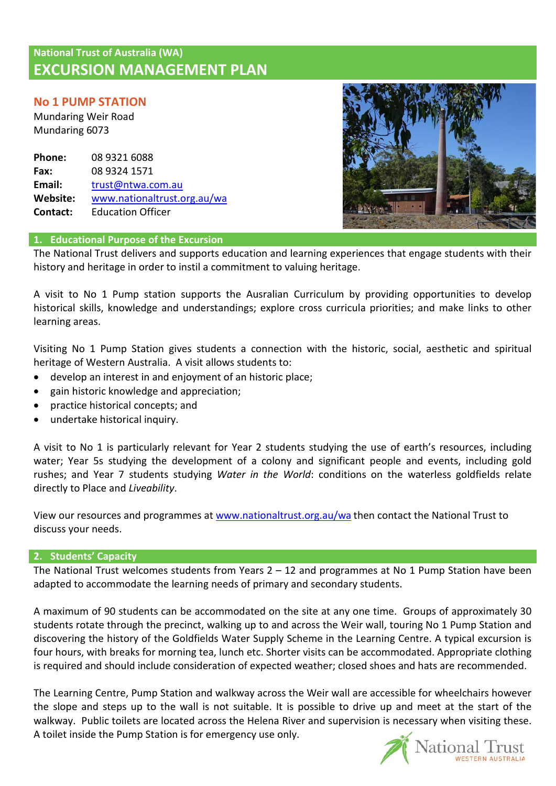# **National Trust of Australia (WA) EXCURSION MANAGEMENT PLAN**

# **No 1 PUMP STATION**

Mundaring Weir Road Mundaring 6073

**Phone: Fax: Email: Website: Contact:** 08 9321 6088 08 9324 1571 [trust@ntwa.com.au](mailto:trust@ntwa.com.au) [www.nationaltrust.org.au/wa](http://www.valuingheritage.com.au/) Education Officer



# **1. Educational Purpose of the Excursion**

The National Trust delivers and supports education and learning experiences that engage students with their history and heritage in order to instil a commitment to valuing heritage.

A visit to No 1 Pump station supports the Ausralian Curriculum by providing opportunities to develop historical skills, knowledge and understandings; explore cross curricula priorities; and make links to other learning areas.

Visiting No 1 Pump Station gives students a connection with the historic, social, aesthetic and spiritual heritage of Western Australia. A visit allows students to:

- develop an interest in and enjoyment of an historic place;
- gain historic knowledge and appreciation;
- practice historical concepts; and
- undertake historical inquiry.

A visit to No 1 is particularly relevant for Year 2 students studying the use of earth's resources, including water; Year 5s studying the development of a colony and significant people and events, including gold rushes; and Year 7 students studying *Water in the World*: conditions on the waterless goldfields relate directly to Place and *Liveability*.

View our resources and programmes at [www.nationaltrust.org.au/wa](http://www.valuingheritage.com.au/) then contact the National Trust to discuss your needs.

#### **2. Students' Capacity**

The National Trust welcomes students from Years  $2 - 12$  and programmes at No 1 Pump Station have been adapted to accommodate the learning needs of primary and secondary students.

A maximum of 90 students can be accommodated on the site at any one time. Groups of approximately 30 students rotate through the precinct, walking up to and across the Weir wall, touring No 1 Pump Station and discovering the history of the Goldfields Water Supply Scheme in the Learning Centre. A typical excursion is four hours, with breaks for morning tea, lunch etc. Shorter visits can be accommodated. Appropriate clothing is required and should include consideration of expected weather; closed shoes and hats are recommended.

The Learning Centre, Pump Station and walkway across the Weir wall are accessible for wheelchairs however the slope and steps up to the wall is not suitable. It is possible to drive up and meet at the start of the walkway. Public toilets are located across the Helena River and supervision is necessary when visiting these. A toilet inside the Pump Station is for emergency use only.

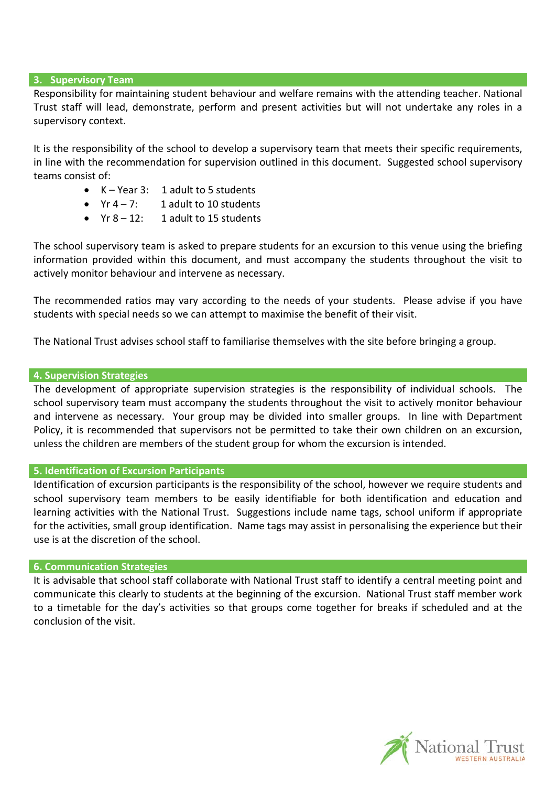#### **3. Supervisory Team**

Responsibility for maintaining student behaviour and welfare remains with the attending teacher. National Trust staff will lead, demonstrate, perform and present activities but will not undertake any roles in a supervisory context.

It is the responsibility of the school to develop a supervisory team that meets their specific requirements, in line with the recommendation for supervision outlined in this document. Suggested school supervisory teams consist of:

- K Year 3: 1 adult to 5 students
- $Yr 4 7$ : 1 adult to 10 students
- $Yr 8 12$ : 1 adult to 15 students

The school supervisory team is asked to prepare students for an excursion to this venue using the briefing information provided within this document, and must accompany the students throughout the visit to actively monitor behaviour and intervene as necessary.

The recommended ratios may vary according to the needs of your students. Please advise if you have students with special needs so we can attempt to maximise the benefit of their visit.

The National Trust advises school staff to familiarise themselves with the site before bringing a group.

#### **4. Supervision Strategies**

The development of appropriate supervision strategies is the responsibility of individual schools. The school supervisory team must accompany the students throughout the visit to actively monitor behaviour and intervene as necessary. Your group may be divided into smaller groups. In line with Department Policy, it is recommended that supervisors not be permitted to take their own children on an excursion, unless the children are members of the student group for whom the excursion is intended.

# **5. Identification of Excursion Participants**

Identification of excursion participants is the responsibility of the school, however we require students and school supervisory team members to be easily identifiable for both identification and education and learning activities with the National Trust. Suggestions include name tags, school uniform if appropriate for the activities, small group identification. Name tags may assist in personalising the experience but their use is at the discretion of the school.

## **6. Communication Strategies**

It is advisable that school staff collaborate with National Trust staff to identify a central meeting point and communicate this clearly to students at the beginning of the excursion. National Trust staff member work to a timetable for the day's activities so that groups come together for breaks if scheduled and at the conclusion of the visit.

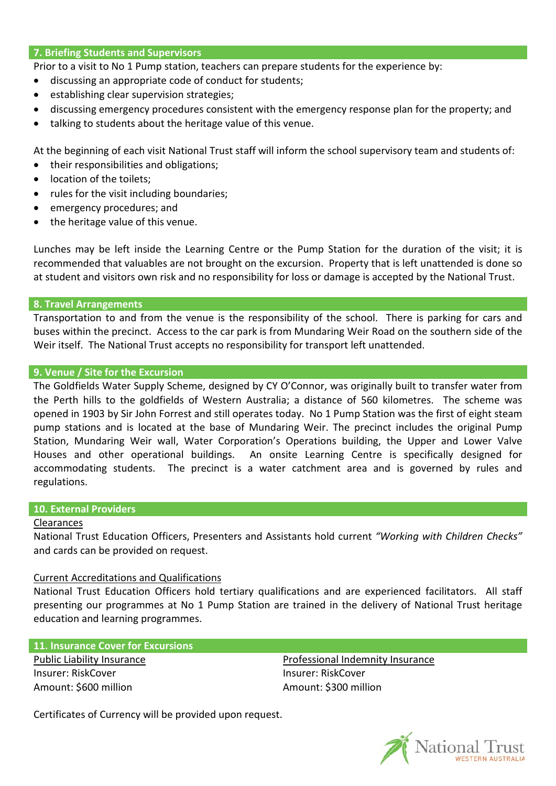#### **7. Briefing Students and Supervisors**

Prior to a visit to No 1 Pump station, teachers can prepare students for the experience by:

- discussing an appropriate code of conduct for students;
- establishing clear supervision strategies;
- discussing emergency procedures consistent with the emergency response plan for the property; and
- talking to students about the heritage value of this venue.

At the beginning of each visit National Trust staff will inform the school supervisory team and students of:

- their responsibilities and obligations;
- location of the toilets;
- rules for the visit including boundaries;
- emergency procedures; and
- the heritage value of this venue.

Lunches may be left inside the Learning Centre or the Pump Station for the duration of the visit; it is recommended that valuables are not brought on the excursion. Property that is left unattended is done so at student and visitors own risk and no responsibility for loss or damage is accepted by the National Trust.

## **8. Travel Arrangements**

Transportation to and from the venue is the responsibility of the school. There is parking for cars and buses within the precinct. Access to the car park is from Mundaring Weir Road on the southern side of the Weir itself. The National Trust accepts no responsibility for transport left unattended.

#### **9. Venue / Site for the Excursion**

The Goldfields Water Supply Scheme, designed by CY O'Connor, was originally built to transfer water from the Perth hills to the goldfields of Western Australia; a distance of 560 kilometres. The scheme was opened in 1903 by Sir John Forrest and still operates today. No 1 Pump Station was the first of eight steam pump stations and is located at the base of Mundaring Weir. The precinct includes the original Pump Station, Mundaring Weir wall, Water Corporation's Operations building, the Upper and Lower Valve Houses and other operational buildings. An onsite Learning Centre is specifically designed for accommodating students. The precinct is a water catchment area and is governed by rules and regulations.

## **10. External Providers**

#### Clearances

National Trust Education Officers, Presenters and Assistants hold current *"Working with Children Checks"*  and cards can be provided on request.

## Current Accreditations and Qualifications

National Trust Education Officers hold tertiary qualifications and are experienced facilitators. All staff presenting our programmes at No 1 Pump Station are trained in the delivery of National Trust heritage education and learning programmes.

#### **11. Insurance Cover for Excursions**

Public Liability Insurance Insurer: RiskCover Amount: \$600 million

Professional Indemnity Insurance Insurer: RiskCover Amount: \$300 million

Certificates of Currency will be provided upon request.

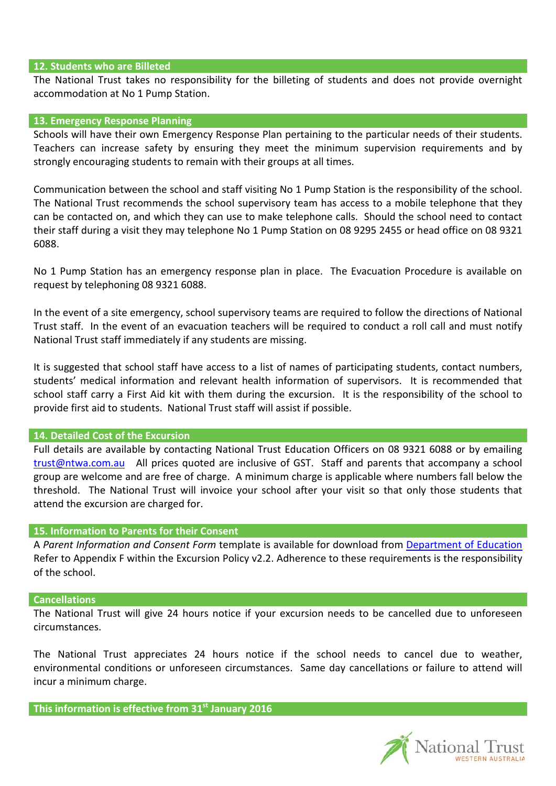#### **12. Students who are Billeted**

The National Trust takes no responsibility for the billeting of students and does not provide overnight accommodation at No 1 Pump Station.

#### **13. Emergency Response Planning**

Schools will have their own Emergency Response Plan pertaining to the particular needs of their students. Teachers can increase safety by ensuring they meet the minimum supervision requirements and by strongly encouraging students to remain with their groups at all times.

Communication between the school and staff visiting No 1 Pump Station is the responsibility of the school. The National Trust recommends the school supervisory team has access to a mobile telephone that they can be contacted on, and which they can use to make telephone calls. Should the school need to contact their staff during a visit they may telephone No 1 Pump Station on 08 9295 2455 or head office on 08 9321 6088.

No 1 Pump Station has an emergency response plan in place. The Evacuation Procedure is available on request by telephoning 08 9321 6088.

In the event of a site emergency, school supervisory teams are required to follow the directions of National Trust staff. In the event of an evacuation teachers will be required to conduct a roll call and must notify National Trust staff immediately if any students are missing.

It is suggested that school staff have access to a list of names of participating students, contact numbers, students' medical information and relevant health information of supervisors. It is recommended that school staff carry a First Aid kit with them during the excursion. It is the responsibility of the school to provide first aid to students. National Trust staff will assist if possible.

## **14. Detailed Cost of the Excursion**

Full details are available by contacting National Trust Education Officers on 08 9321 6088 or by emailing [trust@ntwa.com.au](mailto:trust@ntwa.com.au) All prices quoted are inclusive of GST. Staff and parents that accompany a school group are welcome and are free of charge. A minimum charge is applicable where numbers fall below the threshold. The National Trust will invoice your school after your visit so that only those students that attend the excursion are charged for.

## **15. Information to Parents for their Consent**

A *Parent Information and Consent Form* template is available for download from [Department of Education](http://det.wa.edu.au/policies/detcms/policy-planning-and-accountability/policies-framework/policies/excursions-policy-and-procedures.en?cat-id=3457100) Refer to Appendix F within the Excursion Policy v2.2. Adherence to these requirements is the responsibility of the school.

#### **Cancellations**

The National Trust will give 24 hours notice if your excursion needs to be cancelled due to unforeseen circumstances.

The National Trust appreciates 24 hours notice if the school needs to cancel due to weather, environmental conditions or unforeseen circumstances. Same day cancellations or failure to attend will incur a minimum charge.

**This information is effective from 31st January 2016** 

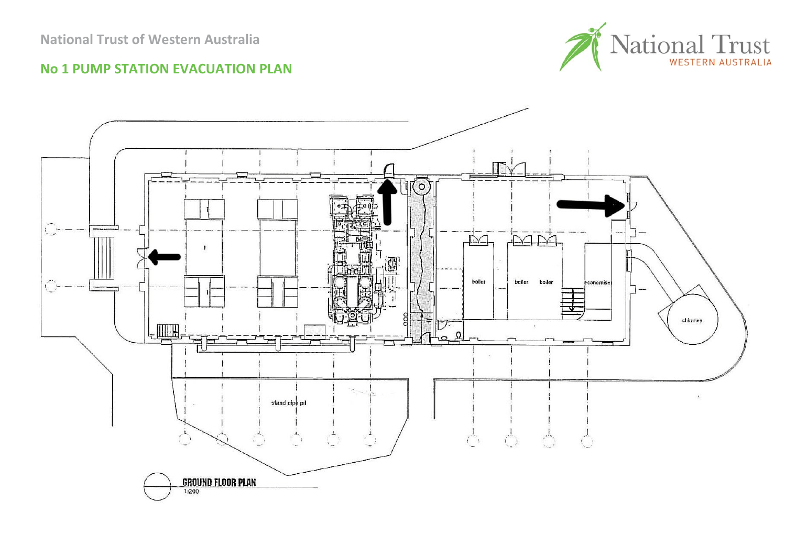

# **No 1 PUMP STATION EVACUATION PLAN**